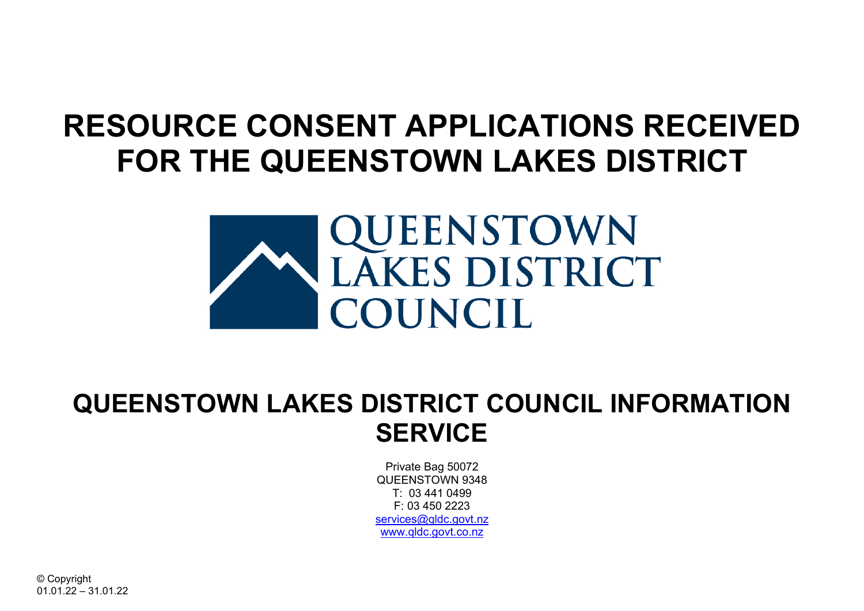## **RESOURCE CONSENT APPLICATIONS RECEIVED FOR THE QUEENSTOWN LAKES DISTRICT**



## **QUEENSTOWN LAKES DISTRICT COUNCIL INFORMATION SERVICE**

Private Bag 50072 QUEENSTOWN 9348 T: 03 441 0499  $F: 03450223$ services@gldc.govt.nz [www.qldc.govt.co.nz](http://www.qldc.govt.co.nz/)

© Copyright 01.01.22 – 31.01.22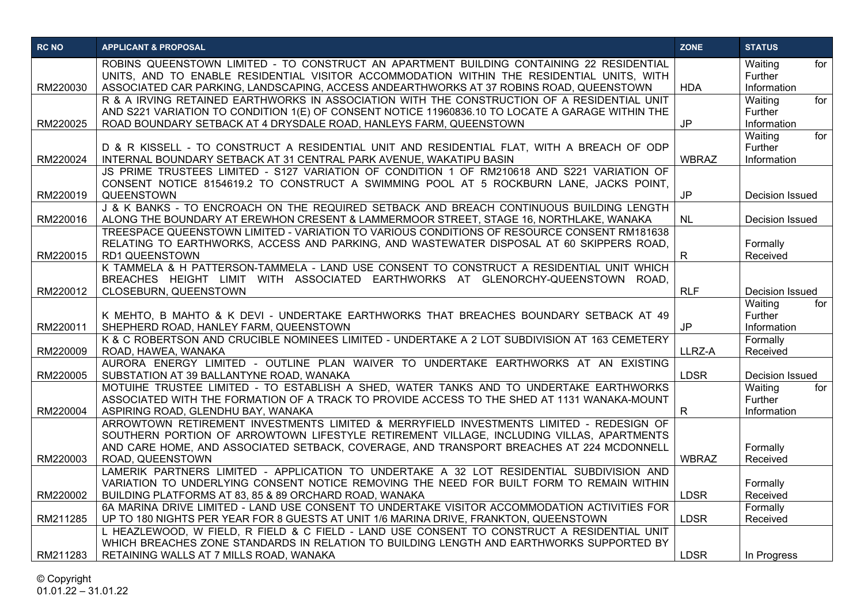| <b>RC NO</b> | <b>APPLICANT &amp; PROPOSAL</b>                                                                                                                                                      | <b>ZONE</b>  | <b>STATUS</b>                 |
|--------------|--------------------------------------------------------------------------------------------------------------------------------------------------------------------------------------|--------------|-------------------------------|
|              | ROBINS QUEENSTOWN LIMITED - TO CONSTRUCT AN APARTMENT BUILDING CONTAINING 22 RESIDENTIAL                                                                                             |              | Waiting<br>for                |
| RM220030     | UNITS, AND TO ENABLE RESIDENTIAL VISITOR ACCOMMODATION WITHIN THE RESIDENTIAL UNITS, WITH<br>ASSOCIATED CAR PARKING, LANDSCAPING, ACCESS ANDEARTHWORKS AT 37 ROBINS ROAD, QUEENSTOWN | <b>HDA</b>   | <b>Further</b><br>Information |
|              | R & A IRVING RETAINED EARTHWORKS IN ASSOCIATION WITH THE CONSTRUCTION OF A RESIDENTIAL UNIT                                                                                          |              | for<br>Waiting                |
|              | AND S221 VARIATION TO CONDITION 1(E) OF CONSENT NOTICE 11960836.10 TO LOCATE A GARAGE WITHIN THE                                                                                     |              | Further                       |
| RM220025     | ROAD BOUNDARY SETBACK AT 4 DRYSDALE ROAD, HANLEYS FARM, QUEENSTOWN                                                                                                                   | <b>JP</b>    | Information                   |
|              |                                                                                                                                                                                      |              | for<br>Waiting                |
|              | D & R KISSELL - TO CONSTRUCT A RESIDENTIAL UNIT AND RESIDENTIAL FLAT, WITH A BREACH OF ODP                                                                                           |              | Further                       |
| RM220024     | INTERNAL BOUNDARY SETBACK AT 31 CENTRAL PARK AVENUE, WAKATIPU BASIN                                                                                                                  | <b>WBRAZ</b> | Information                   |
|              | JS PRIME TRUSTEES LIMITED - S127 VARIATION OF CONDITION 1 OF RM210618 AND S221 VARIATION OF                                                                                          |              |                               |
|              | CONSENT NOTICE 8154619.2 TO CONSTRUCT A SWIMMING POOL AT 5 ROCKBURN LANE, JACKS POINT,                                                                                               |              |                               |
| RM220019     | QUEENSTOWN<br>J & K BANKS - TO ENCROACH ON THE REQUIRED SETBACK AND BREACH CONTINUOUS BUILDING LENGTH                                                                                | <b>JP</b>    | Decision Issued               |
| RM220016     | ALONG THE BOUNDARY AT EREWHON CRESENT & LAMMERMOOR STREET, STAGE 16, NORTHLAKE, WANAKA                                                                                               | <b>NL</b>    | <b>Decision Issued</b>        |
|              | TREESPACE QUEENSTOWN LIMITED - VARIATION TO VARIOUS CONDITIONS OF RESOURCE CONSENT RM181638                                                                                          |              |                               |
|              | RELATING TO EARTHWORKS, ACCESS AND PARKING, AND WASTEWATER DISPOSAL AT 60 SKIPPERS ROAD,                                                                                             |              | Formally                      |
| RM220015     | <b>RD1 QUEENSTOWN</b>                                                                                                                                                                | $\mathsf{R}$ | Received                      |
|              | K TAMMELA & H PATTERSON-TAMMELA - LAND USE CONSENT TO CONSTRUCT A RESIDENTIAL UNIT WHICH                                                                                             |              |                               |
|              | BREACHES HEIGHT LIMIT WITH ASSOCIATED EARTHWORKS AT GLENORCHY-QUEENSTOWN ROAD,                                                                                                       |              |                               |
| RM220012     | CLOSEBURN, QUEENSTOWN                                                                                                                                                                | <b>RLF</b>   | Decision Issued               |
|              |                                                                                                                                                                                      |              | for<br>Waiting                |
| RM220011     | K MEHTO, B MAHTO & K DEVI - UNDERTAKE EARTHWORKS THAT BREACHES BOUNDARY SETBACK AT 49<br>SHEPHERD ROAD, HANLEY FARM, QUEENSTOWN                                                      | <b>JP</b>    | Further<br>Information        |
|              | K & C ROBERTSON AND CRUCIBLE NOMINEES LIMITED - UNDERTAKE A 2 LOT SUBDIVISION AT 163 CEMETERY                                                                                        |              | Formally                      |
| RM220009     | ROAD, HAWEA, WANAKA                                                                                                                                                                  | LLRZ-A       | Received                      |
|              | AURORA ENERGY LIMITED - OUTLINE PLAN WAIVER TO UNDERTAKE EARTHWORKS AT AN EXISTING                                                                                                   |              |                               |
| RM220005     | SUBSTATION AT 39 BALLANTYNE ROAD, WANAKA                                                                                                                                             | LDSR         | Decision Issued               |
|              | MOTUIHE TRUSTEE LIMITED - TO ESTABLISH A SHED, WATER TANKS AND TO UNDERTAKE EARTHWORKS                                                                                               |              | Waiting<br>for                |
|              | ASSOCIATED WITH THE FORMATION OF A TRACK TO PROVIDE ACCESS TO THE SHED AT 1131 WANAKA-MOUNT                                                                                          |              | Further                       |
| RM220004     | ASPIRING ROAD, GLENDHU BAY, WANAKA                                                                                                                                                   | $\mathsf{R}$ | Information                   |
|              | ARROWTOWN RETIREMENT INVESTMENTS LIMITED & MERRYFIELD INVESTMENTS LIMITED - REDESIGN OF<br>SOUTHERN PORTION OF ARROWTOWN LIFESTYLE RETIREMENT VILLAGE, INCLUDING VILLAS, APARTMENTS  |              |                               |
|              | AND CARE HOME, AND ASSOCIATED SETBACK, COVERAGE, AND TRANSPORT BREACHES AT 224 MCDONNELL                                                                                             |              | Formally                      |
| RM220003     | ROAD, QUEENSTOWN                                                                                                                                                                     | <b>WBRAZ</b> | Received                      |
|              | LAMERIK PARTNERS LIMITED - APPLICATION TO UNDERTAKE A 32 LOT RESIDENTIAL SUBDIVISION AND                                                                                             |              |                               |
|              | VARIATION TO UNDERLYING CONSENT NOTICE REMOVING THE NEED FOR BUILT FORM TO REMAIN WITHIN                                                                                             |              | Formally                      |
| RM220002     | BUILDING PLATFORMS AT 83, 85 & 89 ORCHARD ROAD, WANAKA                                                                                                                               | <b>LDSR</b>  | Received                      |
|              | 6A MARINA DRIVE LIMITED - LAND USE CONSENT TO UNDERTAKE VISITOR ACCOMMODATION ACTIVITIES FOR                                                                                         |              | Formally                      |
| RM211285     | UP TO 180 NIGHTS PER YEAR FOR 8 GUESTS AT UNIT 1/6 MARINA DRIVE, FRANKTON, QUEENSTOWN                                                                                                | <b>LDSR</b>  | Received                      |
|              | L HEAZLEWOOD, W FIELD, R FIELD & C FIELD - LAND USE CONSENT TO CONSTRUCT A RESIDENTIAL UNIT                                                                                          |              |                               |
| RM211283     | WHICH BREACHES ZONE STANDARDS IN RELATION TO BUILDING LENGTH AND EARTHWORKS SUPPORTED BY<br>RETAINING WALLS AT 7 MILLS ROAD, WANAKA                                                  | <b>LDSR</b>  | In Progress                   |
|              |                                                                                                                                                                                      |              |                               |

© Copyright 01.01.22 – 31.01.22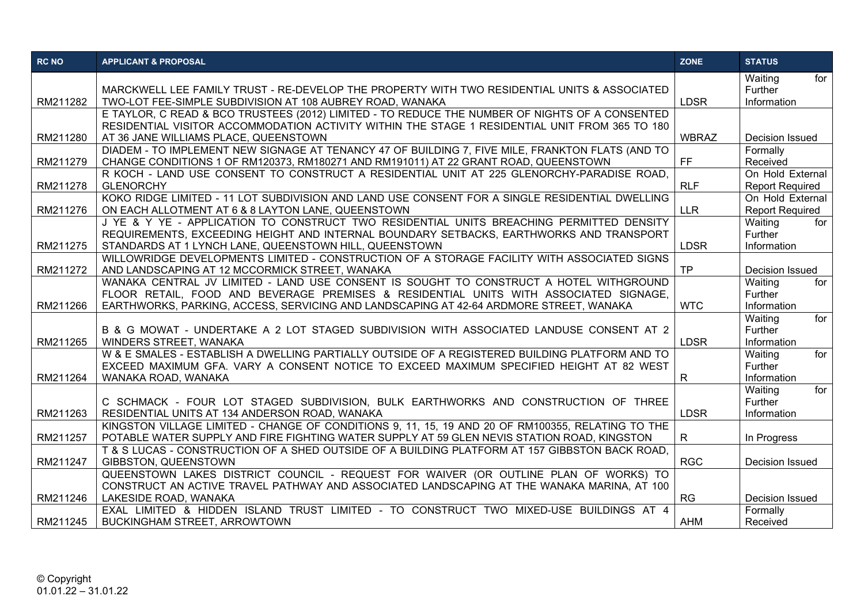| <b>RC NO</b> | <b>APPLICANT &amp; PROPOSAL</b>                                                                                                                                                                  | <b>ZONE</b>  | <b>STATUS</b>             |
|--------------|--------------------------------------------------------------------------------------------------------------------------------------------------------------------------------------------------|--------------|---------------------------|
|              |                                                                                                                                                                                                  |              | Waiting<br>for            |
|              | MARCKWELL LEE FAMILY TRUST - RE-DEVELOP THE PROPERTY WITH TWO RESIDENTIAL UNITS & ASSOCIATED                                                                                                     |              | Further                   |
| RM211282     | TWO-LOT FEE-SIMPLE SUBDIVISION AT 108 AUBREY ROAD, WANAKA                                                                                                                                        | <b>LDSR</b>  | Information               |
|              | E TAYLOR, C READ & BCO TRUSTEES (2012) LIMITED - TO REDUCE THE NUMBER OF NIGHTS OF A CONSENTED<br>RESIDENTIAL VISITOR ACCOMMODATION ACTIVITY WITHIN THE STAGE 1 RESIDENTIAL UNIT FROM 365 TO 180 |              |                           |
| RM211280     | AT 36 JANE WILLIAMS PLACE, QUEENSTOWN                                                                                                                                                            | <b>WBRAZ</b> | <b>Decision Issued</b>    |
|              | DIADEM - TO IMPLEMENT NEW SIGNAGE AT TENANCY 47 OF BUILDING 7, FIVE MILE, FRANKTON FLATS (AND TO                                                                                                 |              | Formally                  |
| RM211279     | CHANGE CONDITIONS 1 OF RM120373, RM180271 AND RM191011) AT 22 GRANT ROAD, QUEENSTOWN                                                                                                             | <b>FF</b>    | Received                  |
|              | R KOCH - LAND USE CONSENT TO CONSTRUCT A RESIDENTIAL UNIT AT 225 GLENORCHY-PARADISE ROAD.                                                                                                        |              | On Hold External          |
| RM211278     | <b>GLENORCHY</b>                                                                                                                                                                                 | <b>RLF</b>   | <b>Report Required</b>    |
|              | KOKO RIDGE LIMITED - 11 LOT SUBDIVISION AND LAND USE CONSENT FOR A SINGLE RESIDENTIAL DWELLING                                                                                                   |              | On Hold External          |
| RM211276     | ON EACH ALLOTMENT AT 6 & 8 LAYTON LANE, QUEENSTOWN                                                                                                                                               | <b>LLR</b>   | <b>Report Required</b>    |
|              | J YE & Y YE - APPLICATION TO CONSTRUCT TWO RESIDENTIAL UNITS BREACHING PERMITTED DENSITY                                                                                                         |              | Waiting<br>for            |
|              | REQUIREMENTS, EXCEEDING HEIGHT AND INTERNAL BOUNDARY SETBACKS, EARTHWORKS AND TRANSPORT                                                                                                          |              | Further                   |
| RM211275     | STANDARDS AT 1 LYNCH LANE, QUEENSTOWN HILL, QUEENSTOWN                                                                                                                                           | <b>LDSR</b>  | Information               |
|              | WILLOWRIDGE DEVELOPMENTS LIMITED - CONSTRUCTION OF A STORAGE FACILITY WITH ASSOCIATED SIGNS                                                                                                      |              |                           |
| RM211272     | AND LANDSCAPING AT 12 MCCORMICK STREET, WANAKA                                                                                                                                                   | <b>TP</b>    | Decision Issued           |
|              | WANAKA CENTRAL JV LIMITED - LAND USE CONSENT IS SOUGHT TO CONSTRUCT A HOTEL WITHGROUND                                                                                                           |              | Waiting<br>for            |
|              | FLOOR RETAIL, FOOD AND BEVERAGE PREMISES & RESIDENTIAL UNITS WITH ASSOCIATED SIGNAGE,                                                                                                            |              | Further                   |
| RM211266     | EARTHWORKS, PARKING, ACCESS, SERVICING AND LANDSCAPING AT 42-64 ARDMORE STREET, WANAKA                                                                                                           | <b>WTC</b>   | Information               |
|              |                                                                                                                                                                                                  |              | for<br>Waiting            |
|              | B & G MOWAT - UNDERTAKE A 2 LOT STAGED SUBDIVISION WITH ASSOCIATED LANDUSE CONSENT AT 2                                                                                                          |              | Further                   |
| RM211265     | <b>WINDERS STREET, WANAKA</b>                                                                                                                                                                    | <b>LDSR</b>  | Information               |
|              | W & E SMALES - ESTABLISH A DWELLING PARTIALLY OUTSIDE OF A REGISTERED BUILDING PLATFORM AND TO                                                                                                   |              | for<br>Waiting<br>Further |
|              | EXCEED MAXIMUM GFA. VARY A CONSENT NOTICE TO EXCEED MAXIMUM SPECIFIED HEIGHT AT 82 WEST                                                                                                          |              | Information               |
| RM211264     | WANAKA ROAD, WANAKA                                                                                                                                                                              | R            | for                       |
|              | C SCHMACK - FOUR LOT STAGED SUBDIVISION, BULK EARTHWORKS AND CONSTRUCTION OF THREE                                                                                                               |              | Waiting<br>Further        |
| RM211263     | RESIDENTIAL UNITS AT 134 ANDERSON ROAD, WANAKA                                                                                                                                                   | <b>LDSR</b>  | Information               |
|              | KINGSTON VILLAGE LIMITED - CHANGE OF CONDITIONS 9, 11, 15, 19 AND 20 OF RM100355, RELATING TO THE                                                                                                |              |                           |
| RM211257     | POTABLE WATER SUPPLY AND FIRE FIGHTING WATER SUPPLY AT 59 GLEN NEVIS STATION ROAD, KINGSTON                                                                                                      | $\mathsf{R}$ | In Progress               |
|              | T & S LUCAS - CONSTRUCTION OF A SHED OUTSIDE OF A BUILDING PLATFORM AT 157 GIBBSTON BACK ROAD.                                                                                                   |              |                           |
| RM211247     | GIBBSTON, QUEENSTOWN                                                                                                                                                                             | <b>RGC</b>   | Decision Issued           |
|              | QUEENSTOWN LAKES DISTRICT COUNCIL - REQUEST FOR WAIVER (OR OUTLINE PLAN OF WORKS) TO                                                                                                             |              |                           |
|              | CONSTRUCT AN ACTIVE TRAVEL PATHWAY AND ASSOCIATED LANDSCAPING AT THE WANAKA MARINA, AT 100                                                                                                       |              |                           |
| RM211246     | LAKESIDE ROAD, WANAKA                                                                                                                                                                            | RG           | <b>Decision Issued</b>    |
|              | EXAL LIMITED & HIDDEN ISLAND TRUST LIMITED - TO CONSTRUCT TWO MIXED-USE BUILDINGS AT 4                                                                                                           |              | Formally                  |
| RM211245     | <b>BUCKINGHAM STREET, ARROWTOWN</b>                                                                                                                                                              | <b>AHM</b>   | Received                  |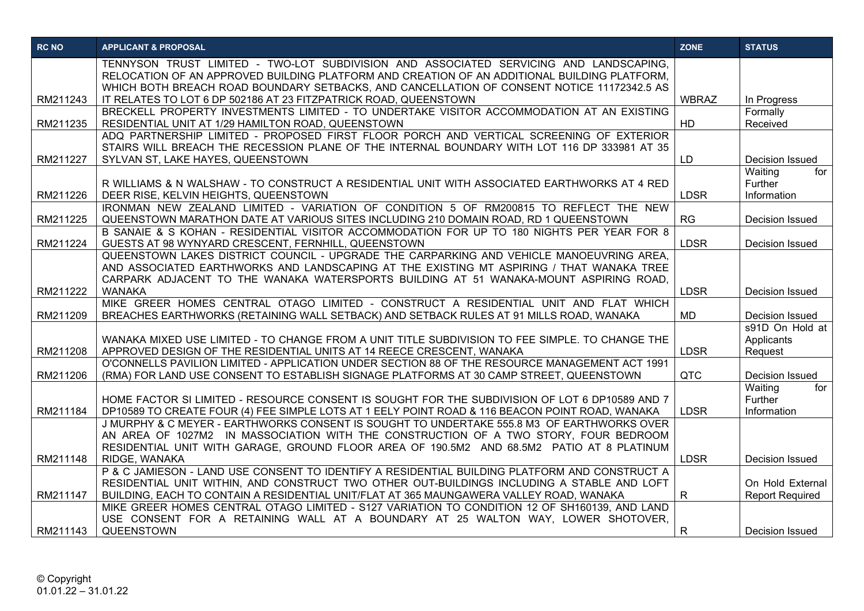| <b>RC NO</b> | <b>APPLICANT &amp; PROPOSAL</b>                                                                                                                                                            | <b>ZONE</b>  | <b>STATUS</b>             |
|--------------|--------------------------------------------------------------------------------------------------------------------------------------------------------------------------------------------|--------------|---------------------------|
|              | TENNYSON TRUST LIMITED - TWO-LOT SUBDIVISION AND ASSOCIATED SERVICING AND LANDSCAPING.                                                                                                     |              |                           |
|              | RELOCATION OF AN APPROVED BUILDING PLATFORM AND CREATION OF AN ADDITIONAL BUILDING PLATFORM,<br>WHICH BOTH BREACH ROAD BOUNDARY SETBACKS, AND CANCELLATION OF CONSENT NOTICE 11172342.5 AS |              |                           |
| RM211243     | IT RELATES TO LOT 6 DP 502186 AT 23 FITZPATRICK ROAD, QUEENSTOWN                                                                                                                           | <b>WBRAZ</b> | In Progress               |
|              | BRECKELL PROPERTY INVESTMENTS LIMITED - TO UNDERTAKE VISITOR ACCOMMODATION AT AN EXISTING                                                                                                  |              | Formally                  |
| RM211235     | RESIDENTIAL UNIT AT 1/29 HAMILTON ROAD, QUEENSTOWN                                                                                                                                         | HD           | Received                  |
|              | ADQ PARTNERSHIP LIMITED - PROPOSED FIRST FLOOR PORCH AND VERTICAL SCREENING OF EXTERIOR                                                                                                    |              |                           |
|              | STAIRS WILL BREACH THE RECESSION PLANE OF THE INTERNAL BOUNDARY WITH LOT 116 DP 333981 AT 35                                                                                               |              |                           |
| RM211227     | SYLVAN ST, LAKE HAYES, QUEENSTOWN                                                                                                                                                          | LD           | Decision Issued           |
|              |                                                                                                                                                                                            |              | Waiting<br>for            |
|              | R WILLIAMS & N WALSHAW - TO CONSTRUCT A RESIDENTIAL UNIT WITH ASSOCIATED EARTHWORKS AT 4 RED                                                                                               |              | Further                   |
| RM211226     | DEER RISE, KELVIN HEIGHTS, QUEENSTOWN                                                                                                                                                      | <b>LDSR</b>  | Information               |
|              | IRONMAN NEW ZEALAND LIMITED - VARIATION OF CONDITION 5 OF RM200815 TO REFLECT THE NEW                                                                                                      |              |                           |
| RM211225     | QUEENSTOWN MARATHON DATE AT VARIOUS SITES INCLUDING 210 DOMAIN ROAD, RD 1 QUEENSTOWN                                                                                                       | RG           | Decision Issued           |
| RM211224     | B SANAIE & S KOHAN - RESIDENTIAL VISITOR ACCOMMODATION FOR UP TO 180 NIGHTS PER YEAR FOR 8<br>GUESTS AT 98 WYNYARD CRESCENT, FERNHILL, QUEENSTOWN                                          | <b>LDSR</b>  | Decision Issued           |
|              | QUEENSTOWN LAKES DISTRICT COUNCIL - UPGRADE THE CARPARKING AND VEHICLE MANOEUVRING AREA.                                                                                                   |              |                           |
|              | AND ASSOCIATED EARTHWORKS AND LANDSCAPING AT THE EXISTING MT ASPIRING / THAT WANAKA TREE                                                                                                   |              |                           |
|              | CARPARK ADJACENT TO THE WANAKA WATERSPORTS BUILDING AT 51 WANAKA-MOUNT ASPIRING ROAD.                                                                                                      |              |                           |
| RM211222     | <b>WANAKA</b>                                                                                                                                                                              | <b>LDSR</b>  | Decision Issued           |
|              | MIKE GREER HOMES CENTRAL OTAGO LIMITED - CONSTRUCT A RESIDENTIAL UNIT AND FLAT WHICH                                                                                                       |              |                           |
| RM211209     | BREACHES EARTHWORKS (RETAINING WALL SETBACK) AND SETBACK RULES AT 91 MILLS ROAD, WANAKA                                                                                                    | <b>MD</b>    | Decision Issued           |
|              |                                                                                                                                                                                            |              | s91D On Hold at           |
|              | WANAKA MIXED USE LIMITED - TO CHANGE FROM A UNIT TITLE SUBDIVISION TO FEE SIMPLE. TO CHANGE THE                                                                                            |              | Applicants                |
| RM211208     | APPROVED DESIGN OF THE RESIDENTIAL UNITS AT 14 REECE CRESCENT, WANAKA                                                                                                                      | <b>LDSR</b>  | Request                   |
|              | O'CONNELLS PAVILION LIMITED - APPLICATION UNDER SECTION 88 OF THE RESOURCE MANAGEMENT ACT 1991                                                                                             |              |                           |
| RM211206     | (RMA) FOR LAND USE CONSENT TO ESTABLISH SIGNAGE PLATFORMS AT 30 CAMP STREET, QUEENSTOWN                                                                                                    | <b>QTC</b>   | Decision Issued           |
|              | HOME FACTOR SI LIMITED - RESOURCE CONSENT IS SOUGHT FOR THE SUBDIVISION OF LOT 6 DP10589 AND 7                                                                                             |              | Waiting<br>for<br>Further |
| RM211184     | DP10589 TO CREATE FOUR (4) FEE SIMPLE LOTS AT 1 EELY POINT ROAD & 116 BEACON POINT ROAD, WANAKA                                                                                            | <b>LDSR</b>  | Information               |
|              | J MURPHY & C MEYER - EARTHWORKS CONSENT IS SOUGHT TO UNDERTAKE 555.8 M3 OF EARTHWORKS OVER                                                                                                 |              |                           |
|              | AN AREA OF 1027M2 IN MASSOCIATION WITH THE CONSTRUCTION OF A TWO STORY, FOUR BEDROOM                                                                                                       |              |                           |
|              | RESIDENTIAL UNIT WITH GARAGE, GROUND FLOOR AREA OF 190.5M2 AND 68.5M2 PATIO AT 8 PLATINUM                                                                                                  |              |                           |
| RM211148     | RIDGE, WANAKA                                                                                                                                                                              | <b>LDSR</b>  | Decision Issued           |
|              | P & C JAMIESON - LAND USE CONSENT TO IDENTIFY A RESIDENTIAL BUILDING PLATFORM AND CONSTRUCT A                                                                                              |              |                           |
|              | RESIDENTIAL UNIT WITHIN, AND CONSTRUCT TWO OTHER OUT-BUILDINGS INCLUDING A STABLE AND LOFT                                                                                                 |              | On Hold External          |
| RM211147     | BUILDING, EACH TO CONTAIN A RESIDENTIAL UNIT/FLAT AT 365 MAUNGAWERA VALLEY ROAD, WANAKA                                                                                                    | R            | <b>Report Required</b>    |
|              | MIKE GREER HOMES CENTRAL OTAGO LIMITED - S127 VARIATION TO CONDITION 12 OF SH160139, AND LAND                                                                                              |              |                           |
|              | USE CONSENT FOR A RETAINING WALL AT A BOUNDARY AT 25 WALTON WAY, LOWER SHOTOVER,                                                                                                           |              |                           |
| RM211143     | QUEENSTOWN                                                                                                                                                                                 | $\mathsf{R}$ | <b>Decision Issued</b>    |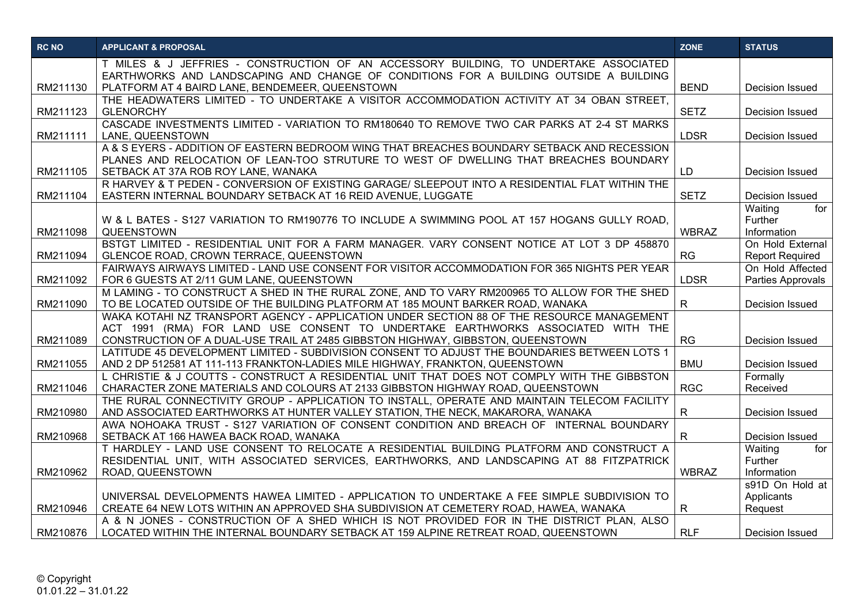| <b>RC NO</b> | <b>APPLICANT &amp; PROPOSAL</b>                                                                                                                                               | <b>ZONE</b>  | <b>STATUS</b>          |
|--------------|-------------------------------------------------------------------------------------------------------------------------------------------------------------------------------|--------------|------------------------|
|              | T MILES & J JEFFRIES - CONSTRUCTION OF AN ACCESSORY BUILDING, TO UNDERTAKE ASSOCIATED                                                                                         |              |                        |
|              | EARTHWORKS AND LANDSCAPING AND CHANGE OF CONDITIONS FOR A BUILDING OUTSIDE A BUILDING                                                                                         | <b>BEND</b>  |                        |
| RM211130     | PLATFORM AT 4 BAIRD LANE, BENDEMEER, QUEENSTOWN<br>THE HEADWATERS LIMITED - TO UNDERTAKE A VISITOR ACCOMMODATION ACTIVITY AT 34 OBAN STREET,                                  |              | <b>Decision Issued</b> |
| RM211123     | <b>GLENORCHY</b>                                                                                                                                                              | <b>SETZ</b>  | Decision Issued        |
|              | CASCADE INVESTMENTS LIMITED - VARIATION TO RM180640 TO REMOVE TWO CAR PARKS AT 2-4 ST MARKS                                                                                   |              |                        |
| RM211111     | LANE, QUEENSTOWN                                                                                                                                                              | <b>LDSR</b>  | Decision Issued        |
|              | A & S EYERS - ADDITION OF EASTERN BEDROOM WING THAT BREACHES BOUNDARY SETBACK AND RECESSION                                                                                   |              |                        |
|              | PLANES AND RELOCATION OF LEAN-TOO STRUTURE TO WEST OF DWELLING THAT BREACHES BOUNDARY                                                                                         |              |                        |
| RM211105     | SETBACK AT 37A ROB ROY LANE, WANAKA                                                                                                                                           | LD           | Decision Issued        |
|              | R HARVEY & T PEDEN - CONVERSION OF EXISTING GARAGE/ SLEEPOUT INTO A RESIDENTIAL FLAT WITHIN THE                                                                               |              |                        |
| RM211104     | EASTERN INTERNAL BOUNDARY SETBACK AT 16 REID AVENUE, LUGGATE                                                                                                                  | <b>SETZ</b>  | Decision Issued        |
|              |                                                                                                                                                                               |              | Waiting<br>for         |
|              | W & L BATES - S127 VARIATION TO RM190776 TO INCLUDE A SWIMMING POOL AT 157 HOGANS GULLY ROAD,<br>QUEENSTOWN                                                                   | <b>WBRAZ</b> | Further<br>Information |
| RM211098     | BSTGT LIMITED - RESIDENTIAL UNIT FOR A FARM MANAGER. VARY CONSENT NOTICE AT LOT 3 DP 458870                                                                                   |              | On Hold External       |
| RM211094     | GLENCOE ROAD, CROWN TERRACE, QUEENSTOWN                                                                                                                                       | RG           | <b>Report Required</b> |
|              | FAIRWAYS AIRWAYS LIMITED - LAND USE CONSENT FOR VISITOR ACCOMMODATION FOR 365 NIGHTS PER YEAR                                                                                 |              | On Hold Affected       |
| RM211092     | FOR 6 GUESTS AT 2/11 GUM LANE, QUEENSTOWN                                                                                                                                     | <b>LDSR</b>  | Parties Approvals      |
|              | M LAMING - TO CONSTRUCT A SHED IN THE RURAL ZONE, AND TO VARY RM200965 TO ALLOW FOR THE SHED                                                                                  |              |                        |
| RM211090     | TO BE LOCATED OUTSIDE OF THE BUILDING PLATFORM AT 185 MOUNT BARKER ROAD, WANAKA                                                                                               | $\mathsf{R}$ | Decision Issued        |
|              | WAKA KOTAHI NZ TRANSPORT AGENCY - APPLICATION UNDER SECTION 88 OF THE RESOURCE MANAGEMENT                                                                                     |              |                        |
|              | ACT 1991 (RMA) FOR LAND USE CONSENT TO UNDERTAKE EARTHWORKS ASSOCIATED WITH THE                                                                                               |              |                        |
| RM211089     | CONSTRUCTION OF A DUAL-USE TRAIL AT 2485 GIBBSTON HIGHWAY, GIBBSTON, QUEENSTOWN                                                                                               | <b>RG</b>    | Decision Issued        |
|              | LATITUDE 45 DEVELOPMENT LIMITED - SUBDIVISION CONSENT TO ADJUST THE BOUNDARIES BETWEEN LOTS 1                                                                                 |              |                        |
| RM211055     | AND 2 DP 512581 AT 111-113 FRANKTON-LADIES MILE HIGHWAY, FRANKTON, QUEENSTOWN                                                                                                 | <b>BMU</b>   | Decision Issued        |
| RM211046     | L CHRISTIE & J COUTTS - CONSTRUCT A RESIDENTIAL UNIT THAT DOES NOT COMPLY WITH THE GIBBSTON<br>CHARACTER ZONE MATERIALS AND COLOURS AT 2133 GIBBSTON HIGHWAY ROAD, QUEENSTOWN | <b>RGC</b>   | Formally<br>Received   |
|              | THE RURAL CONNECTIVITY GROUP - APPLICATION TO INSTALL, OPERATE AND MAINTAIN TELECOM FACILITY                                                                                  |              |                        |
| RM210980     | AND ASSOCIATED EARTHWORKS AT HUNTER VALLEY STATION, THE NECK, MAKARORA, WANAKA                                                                                                | R            | <b>Decision Issued</b> |
|              | AWA NOHOAKA TRUST - S127 VARIATION OF CONSENT CONDITION AND BREACH OF INTERNAL BOUNDARY                                                                                       |              |                        |
| RM210968     | SETBACK AT 166 HAWEA BACK ROAD, WANAKA                                                                                                                                        | $\mathsf{R}$ | Decision Issued        |
|              | T HARDLEY - LAND USE CONSENT TO RELOCATE A RESIDENTIAL BUILDING PLATFORM AND CONSTRUCT A                                                                                      |              | Waiting<br>for         |
|              | RESIDENTIAL UNIT, WITH ASSOCIATED SERVICES, EARTHWORKS, AND LANDSCAPING AT 88 FITZPATRICK                                                                                     |              | Further                |
| RM210962     | ROAD, QUEENSTOWN                                                                                                                                                              | <b>WBRAZ</b> | Information            |
|              |                                                                                                                                                                               |              | s91D On Hold at        |
|              | UNIVERSAL DEVELOPMENTS HAWEA LIMITED - APPLICATION TO UNDERTAKE A FEE SIMPLE SUBDIVISION TO                                                                                   |              | Applicants             |
| RM210946     | CREATE 64 NEW LOTS WITHIN AN APPROVED SHA SUBDIVISION AT CEMETERY ROAD, HAWEA, WANAKA                                                                                         | $\mathsf{R}$ | Request                |
|              | A & N JONES - CONSTRUCTION OF A SHED WHICH IS NOT PROVIDED FOR IN THE DISTRICT PLAN, ALSO                                                                                     |              |                        |
| RM210876     | LOCATED WITHIN THE INTERNAL BOUNDARY SETBACK AT 159 ALPINE RETREAT ROAD, QUEENSTOWN                                                                                           | <b>RLF</b>   | Decision Issued        |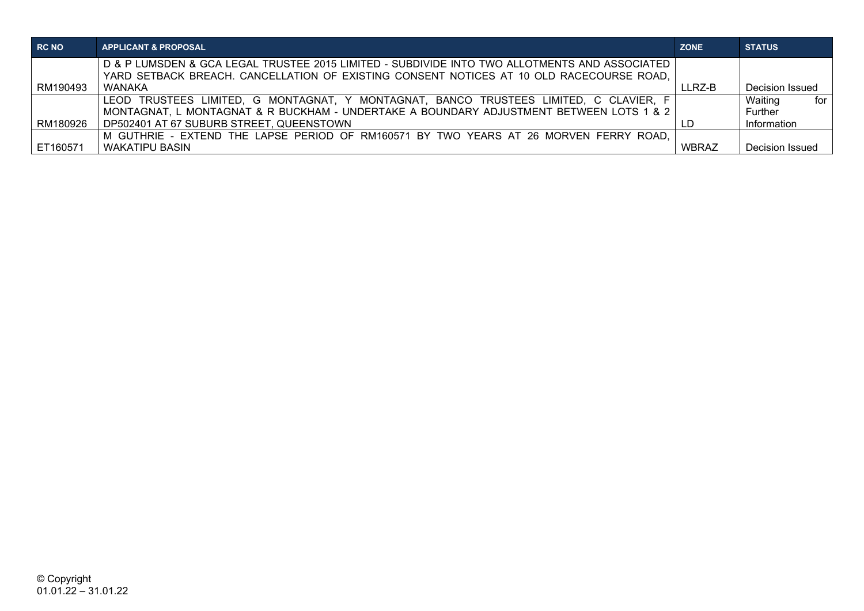| RC NO    | <b>APPLICANT &amp; PROPOSAL</b>                                                               | <b>ZONE</b>  | <b>STATUS</b>   |
|----------|-----------------------------------------------------------------------------------------------|--------------|-----------------|
|          | D & P LUMSDEN & GCA LEGAL TRUSTEE 2015 LIMITED - SUBDIVIDE INTO TWO ALLOTMENTS AND ASSOCIATED |              |                 |
|          | YARD SETBACK BREACH. CANCELLATION OF EXISTING CONSENT NOTICES AT 10 OLD RACECOURSE ROAD,      |              |                 |
| RM190493 | <b>WANAKA</b>                                                                                 | LLRZ-B       | Decision Issued |
|          | LEOD TRUSTEES LIMITED, G MONTAGNAT, Y MONTAGNAT, BANCO TRUSTEES LIMITED, C CLAVIER, F         |              | Waiting<br>for  |
|          | MONTAGNAT, L MONTAGNAT & R BUCKHAM - UNDERTAKE A BOUNDARY ADJUSTMENT BETWEEN LOTS 1 & 2       |              | Further         |
| RM180926 | DP502401 AT 67 SUBURB STREET, QUEENSTOWN                                                      |              | Information     |
|          | M GUTHRIE - EXTEND THE LAPSE PERIOD OF RM160571 BY TWO YEARS AT 26 MORVEN FERRY ROAD.         |              |                 |
| ET160571 | <b>WAKATIPU BASIN</b>                                                                         | <b>WBRAZ</b> | Decision Issued |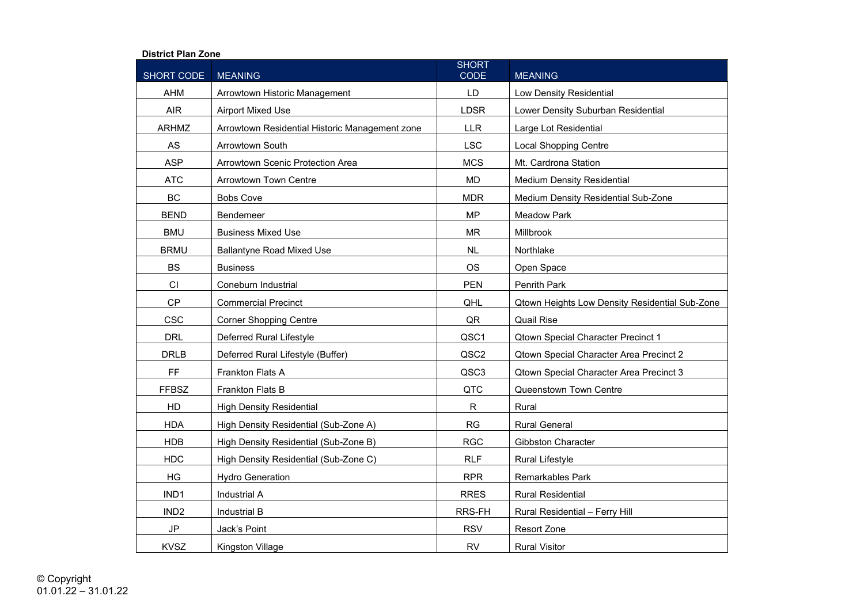## **District Plan Zone**

| SHORT CODE       | <b>MEANING</b>                                 | <b>SHORT</b><br><b>CODE</b> | <b>MEANING</b>                                 |
|------------------|------------------------------------------------|-----------------------------|------------------------------------------------|
| <b>AHM</b>       | Arrowtown Historic Management                  | LD                          | Low Density Residential                        |
| <b>AIR</b>       | <b>Airport Mixed Use</b>                       | <b>LDSR</b>                 | Lower Density Suburban Residential             |
| <b>ARHMZ</b>     | Arrowtown Residential Historic Management zone | <b>LLR</b>                  | Large Lot Residential                          |
| AS               | <b>Arrowtown South</b>                         | <b>LSC</b>                  | <b>Local Shopping Centre</b>                   |
| <b>ASP</b>       | Arrowtown Scenic Protection Area               | <b>MCS</b>                  | Mt. Cardrona Station                           |
| <b>ATC</b>       | <b>Arrowtown Town Centre</b>                   | MD                          | <b>Medium Density Residential</b>              |
| <b>BC</b>        | <b>Bobs Cove</b>                               | <b>MDR</b>                  | Medium Density Residential Sub-Zone            |
| <b>BEND</b>      | Bendemeer                                      | <b>MP</b>                   | <b>Meadow Park</b>                             |
| <b>BMU</b>       | <b>Business Mixed Use</b>                      | <b>MR</b>                   | Millbrook                                      |
| <b>BRMU</b>      | <b>Ballantyne Road Mixed Use</b>               | <b>NL</b>                   | Northlake                                      |
| <b>BS</b>        | <b>Business</b>                                | <b>OS</b>                   | Open Space                                     |
| CI               | Coneburn Industrial                            | <b>PEN</b>                  | Penrith Park                                   |
| <b>CP</b>        | <b>Commercial Precinct</b>                     | QHL                         | Qtown Heights Low Density Residential Sub-Zone |
| <b>CSC</b>       | <b>Corner Shopping Centre</b>                  | QR                          | <b>Quail Rise</b>                              |
| <b>DRL</b>       | Deferred Rural Lifestyle                       | QSC1                        | <b>Qtown Special Character Precinct 1</b>      |
| <b>DRLB</b>      | Deferred Rural Lifestyle (Buffer)              | QSC2                        | Qtown Special Character Area Precinct 2        |
| FF.              | Frankton Flats A                               | QSC3                        | Qtown Special Character Area Precinct 3        |
| <b>FFBSZ</b>     | <b>Frankton Flats B</b>                        | QTC                         | Queenstown Town Centre                         |
| HD               | <b>High Density Residential</b>                | $\mathsf{R}$                | Rural                                          |
| <b>HDA</b>       | High Density Residential (Sub-Zone A)          | <b>RG</b>                   | <b>Rural General</b>                           |
| <b>HDB</b>       | High Density Residential (Sub-Zone B)          | <b>RGC</b>                  | Gibbston Character                             |
| <b>HDC</b>       | High Density Residential (Sub-Zone C)          | <b>RLF</b>                  | <b>Rural Lifestyle</b>                         |
| HG               | <b>Hydro Generation</b>                        | <b>RPR</b>                  | <b>Remarkables Park</b>                        |
| IND1             | <b>Industrial A</b>                            | <b>RRES</b>                 | <b>Rural Residential</b>                       |
| IND <sub>2</sub> | Industrial B                                   | RRS-FH                      | Rural Residential - Ferry Hill                 |
| $\mathsf{JP}$    | Jack's Point                                   | <b>RSV</b>                  | Resort Zone                                    |
| <b>KVSZ</b>      | Kingston Village                               | <b>RV</b>                   | <b>Rural Visitor</b>                           |